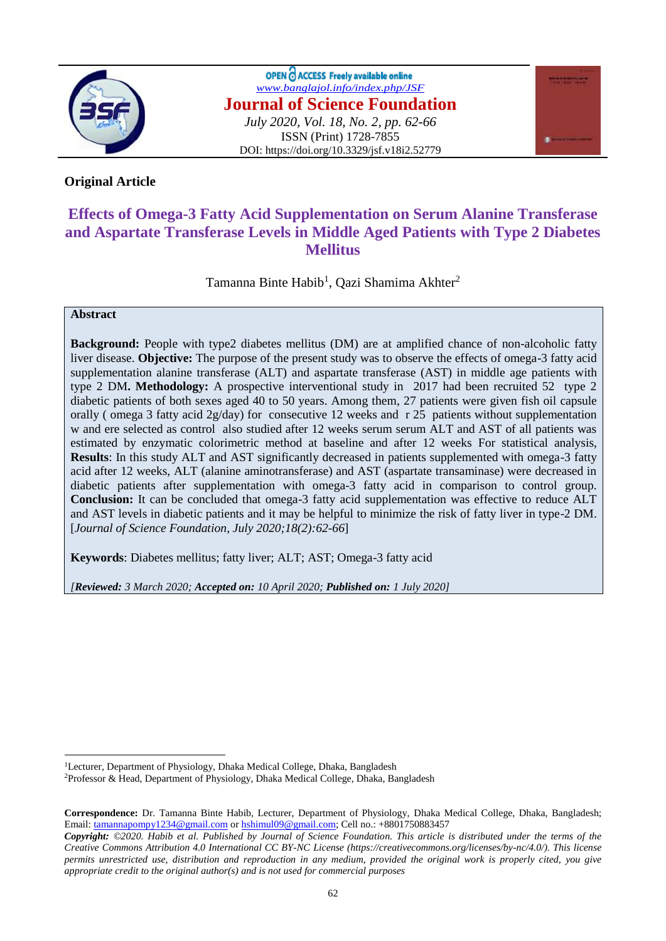

OPEN C ACCESS Freely available online *[www.banglajol.info/index.php/JSF](http://www.banglajol.info/index.php/JSF)* **Journal of Science Foundation** *July 2020, Vol. 18, No. 2, pp. 62-66* ISSN (Print) 1728-7855 DOI: https://doi.org/10.3329/jsf.v18i2.52779



# **Original Article**

# **Effects of Omega-3 Fatty Acid Supplementation on Serum Alanine Transferase and Aspartate Transferase Levels in Middle Aged Patients with Type 2 Diabetes Mellitus**

Tamanna Binte Habib<sup>1</sup>, Qazi Shamima Akhter<sup>2</sup>

## **Abstract**

 $\overline{a}$ 

**Background:** People with type2 diabetes mellitus (DM) are at amplified chance of non-alcoholic fatty liver disease. **Objective:** The purpose of the present study was to observe the effects of omega-3 fatty acid supplementation alanine transferase (ALT) and aspartate transferase (AST) in middle age patients with type 2 DM**. Methodology:** A prospective interventional study in 2017 had been recruited 52 type 2 diabetic patients of both sexes aged 40 to 50 years. Among them, 27 patients were given fish oil capsule orally ( omega 3 fatty acid 2g/day) for consecutive 12 weeks and r 25 patients without supplementation w and ere selected as control also studied after 12 weeks serum serum ALT and AST of all patients was estimated by enzymatic colorimetric method at baseline and after 12 weeks For statistical analysis, **Results**: In this study ALT and AST significantly decreased in patients supplemented with omega-3 fatty acid after 12 weeks, ALT (alanine aminotransferase) and AST (aspartate transaminase) were decreased in diabetic patients after supplementation with omega-3 fatty acid in comparison to control group. **Conclusion:** It can be concluded that omega-3 fatty acid supplementation was effective to reduce ALT and AST levels in diabetic patients and it may be helpful to minimize the risk of fatty liver in type-2 DM. [*Journal of Science Foundation, July 2020;18(2):62-66*]

**Keywords**: Diabetes mellitus; fatty liver; ALT; AST; Omega-3 fatty acid

*[Reviewed: 3 March 2020; Accepted on: 10 April 2020; Published on: 1 July 2020]*

<sup>&</sup>lt;sup>1</sup>Lecturer, Department of Physiology, Dhaka Medical College, Dhaka, Bangladesh

<sup>2</sup>Professor & Head, Department of Physiology, Dhaka Medical College, Dhaka, Bangladesh

**Correspondence:** Dr. Tamanna Binte Habib, Lecturer, Department of Physiology, Dhaka Medical College, Dhaka, Bangladesh; Email: [tamannapompy1234@gmail.com](mailto:tamannapompy1234@gmail.com) or [hshimul09@gmail.com;](mailto:hshimul09@gmail.com) Cell no.: +8801750883457

*Copyright: ©2020. Habib et al. Published by Journal of Science Foundation. This article is distributed under the terms of the Creative Commons Attribution 4.0 International CC BY-NC License (https://creativecommons.org/licenses/by-nc/4.0/). This license permits unrestricted use, distribution and reproduction in any medium, provided the original work is properly cited, you give appropriate credit to the original author(s) and is not used for commercial purposes*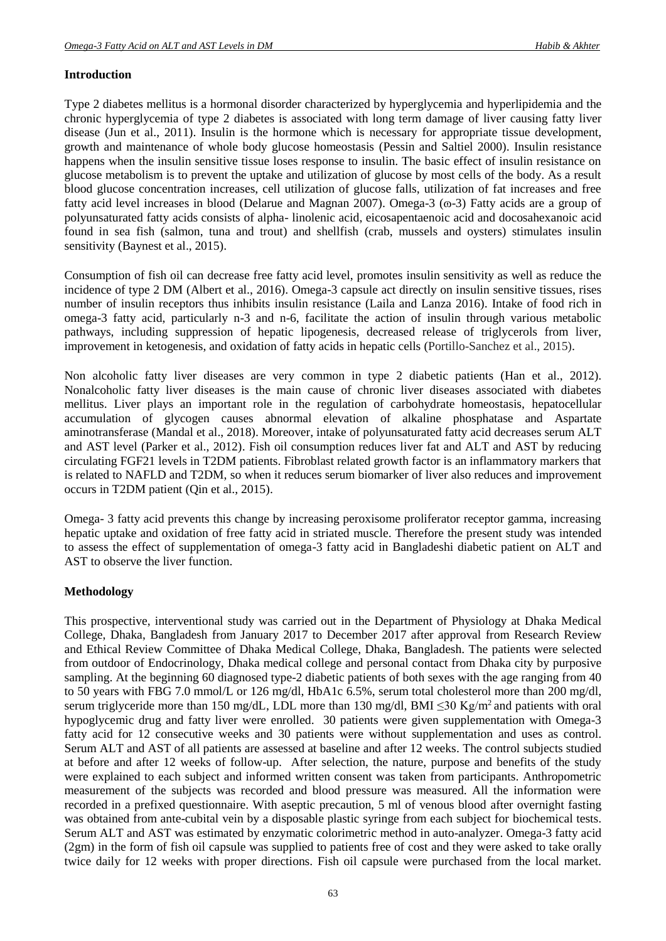## **Introduction**

Type 2 diabetes mellitus is a hormonal disorder characterized by hyperglycemia and hyperlipidemia and the chronic hyperglycemia of type 2 diabetes is associated with long term damage of liver causing fatty liver disease (Jun et al., 2011). Insulin is the hormone which is necessary for appropriate tissue development, growth and maintenance of whole body glucose homeostasis (Pessin and Saltiel 2000). Insulin resistance happens when the insulin sensitive tissue loses response to insulin. The basic effect of insulin resistance on glucose metabolism is to prevent the uptake and utilization of glucose by most cells of the body. As a result blood glucose concentration increases, cell utilization of glucose falls, utilization of fat increases and free fatty acid level increases in blood (Delarue and Magnan 2007). Omega-3 ( $\sigma$ -3) Fatty acids are a group of polyunsaturated fatty acids consists of alpha- linolenic acid, eicosapentaenoic acid and docosahexanoic acid found in sea fish (salmon, tuna and trout) and shellfish (crab, mussels and oysters) stimulates insulin sensitivity (Baynest et al., 2015).

Consumption of fish oil can decrease free fatty acid level, promotes insulin sensitivity as well as reduce the incidence of type 2 DM (Albert et al., 2016). Omega-3 capsule act directly on insulin sensitive tissues, rises number of insulin receptors thus inhibits insulin resistance (Laila and Lanza 2016). Intake of food rich in omega-3 fatty acid, particularly n-3 and n-6, facilitate the action of insulin through various metabolic pathways, including suppression of hepatic lipogenesis, decreased release of triglycerols from liver, improvement in ketogenesis, and oxidation of fatty acids in hepatic cells (Portillo-Sanchez et al., 2015).

Non alcoholic fatty liver diseases are very common in type 2 diabetic patients (Han et al., 2012). Nonalcoholic fatty liver diseases is the main cause of chronic liver diseases associated with diabetes mellitus. Liver plays an important role in the regulation of carbohydrate homeostasis, hepatocellular accumulation of glycogen causes abnormal elevation of alkaline phosphatase and Aspartate aminotransferase (Mandal et al., 2018). Moreover, intake of polyunsaturated fatty acid decreases serum ALT and AST level (Parker et al., 2012). Fish oil consumption reduces liver fat and ALT and AST by reducing circulating FGF21 levels in T2DM patients. Fibroblast related growth factor is an inflammatory markers that is related to NAFLD and T2DM, so when it reduces serum biomarker of liver also reduces and improvement occurs in T2DM patient (Qin et al., 2015).

Omega- 3 fatty acid prevents this change by increasing peroxisome proliferator receptor gamma, increasing hepatic uptake and oxidation of free fatty acid in striated muscle. Therefore the present study was intended to assess the effect of supplementation of omega-3 fatty acid in Bangladeshi diabetic patient on ALT and AST to observe the liver function.

## **Methodology**

This prospective, interventional study was carried out in the Department of Physiology at Dhaka Medical College, Dhaka, Bangladesh from January 2017 to December 2017 after approval from Research Review and Ethical Review Committee of Dhaka Medical College, Dhaka, Bangladesh. The patients were selected from outdoor of Endocrinology, Dhaka medical college and personal contact from Dhaka city by purposive sampling. At the beginning 60 diagnosed type-2 diabetic patients of both sexes with the age ranging from 40 to 50 years with FBG 7.0 mmol/L or 126 mg/dl, HbA1c 6.5%, serum total cholesterol more than 200 mg/dl, serum triglyceride more than 150 mg/dL, LDL more than 130 mg/dl, BMI <30 Kg/m<sup>2</sup> and patients with oral hypoglycemic drug and fatty liver were enrolled. 30 patients were given supplementation with Omega-3 fatty acid for 12 consecutive weeks and 30 patients were without supplementation and uses as control. Serum ALT and AST of all patients are assessed at baseline and after 12 weeks. The control subjects studied at before and after 12 weeks of follow-up. After selection, the nature, purpose and benefits of the study were explained to each subject and informed written consent was taken from participants. Anthropometric measurement of the subjects was recorded and blood pressure was measured. All the information were recorded in a prefixed questionnaire. With aseptic precaution, 5 ml of venous blood after overnight fasting was obtained from ante-cubital vein by a disposable plastic syringe from each subject for biochemical tests. Serum ALT and AST was estimated by enzymatic colorimetric method in auto-analyzer. Omega-3 fatty acid (2gm) in the form of fish oil capsule was supplied to patients free of cost and they were asked to take orally twice daily for 12 weeks with proper directions. Fish oil capsule were purchased from the local market.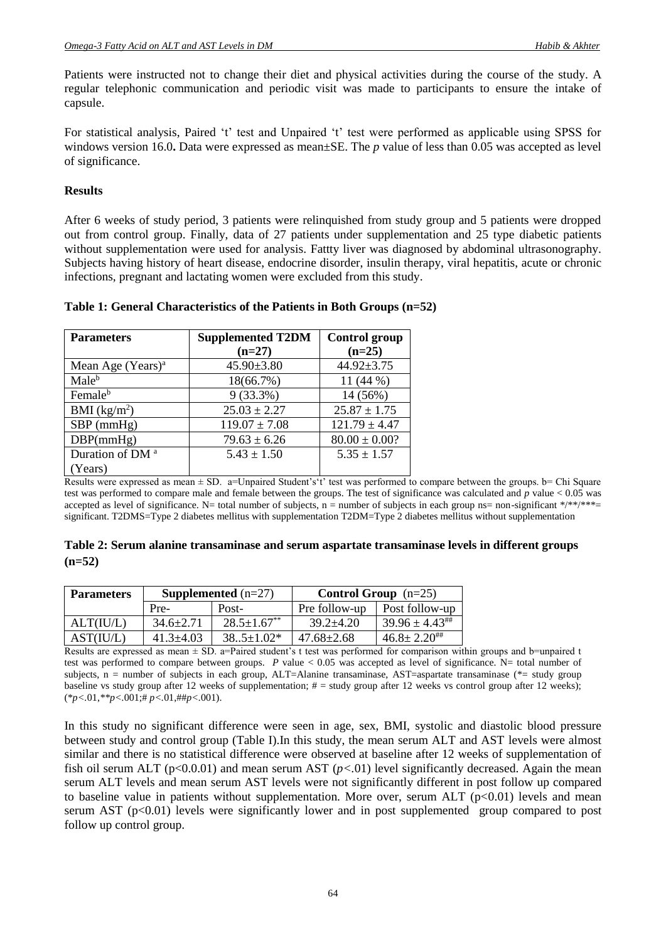Patients were instructed not to change their diet and physical activities during the course of the study. A regular telephonic communication and periodic visit was made to participants to ensure the intake of capsule.

For statistical analysis, Paired 't' test and Unpaired 't' test were performed as applicable using SPSS for windows version 16.0**.** Data were expressed as mean±SE. The *p* value of less than 0.05 was accepted as level of significance.

#### **Results**

After 6 weeks of study period, 3 patients were relinquished from study group and 5 patients were dropped out from control group. Finally, data of 27 patients under supplementation and 25 type diabetic patients without supplementation were used for analysis. Fattty liver was diagnosed by abdominal ultrasonography. Subjects having history of heart disease, endocrine disorder, insulin therapy, viral hepatitis, acute or chronic infections, pregnant and lactating women were excluded from this study.

| <b>Parameters</b>             | <b>Supplemented T2DM</b> | <b>Control group</b> |
|-------------------------------|--------------------------|----------------------|
|                               | $(n=27)$                 | $(n=25)$             |
| Mean Age (Years) <sup>a</sup> | $45.90 \pm 3.80$         | $44.92 \pm 3.75$     |
| Male <sup>b</sup>             | 18(66.7%)                | 11 $(44\%)$          |
| Femaleb                       | $9(33.3\%)$              | 14 (56%)             |
| BMI $(kg/m^2)$                | $25.03 \pm 2.27$         | $25.87 \pm 1.75$     |
| $SBP$ (mmHg)                  | $119.07 \pm 7.08$        | $121.79 \pm 4.47$    |
| DBP(mmHg)                     | $79.63 \pm 6.26$         | $80.00 \pm 0.00?$    |
| Duration of DM <sup>a</sup>   | $5.43 \pm 1.50$          | $5.35 \pm 1.57$      |
| (Years)                       |                          |                      |

### **Table 1: General Characteristics of the Patients in Both Groups (n=52)**

Results were expressed as mean  $\pm$  SD. a=Unpaired Student's't' test was performed to compare between the groups. b= Chi Square test was performed to compare male and female between the groups. The test of significance was calculated and *p* value < 0.05 was accepted as level of significance. N= total number of subjects, n = number of subjects in each group ns= non-significant  $*/**/***=$ significant. T2DMS=Type 2 diabetes mellitus with supplementation T2DM=Type 2 diabetes mellitus without supplementation

|          | Table 2: Serum alanine transaminase and serum aspartate transaminase levels in different groups |
|----------|-------------------------------------------------------------------------------------------------|
| $(n=52)$ |                                                                                                 |

| <b>Parameters</b> | <b>Supplemented</b> $(n=27)$ |                               | <b>Control Group</b> $(n=25)$ |                               |
|-------------------|------------------------------|-------------------------------|-------------------------------|-------------------------------|
|                   | Pre-                         | Post-                         | Pre follow-up                 | Post follow-up                |
| ALT(IU/L)         | $34.6 \pm 2.71$              | $28.5 \pm 1.67$ <sup>**</sup> | $39.2 \pm 4.20$               | $39.96 \pm 4.43^{\text{***}}$ |
| AST(IU/L)         | $41.3 + 4.03$                | $38.5 \pm 1.02*$              | $47.68 + 2.68$                | $46.8 \pm 2.20^{***}$         |

Results are expressed as mean  $\pm$  SD. a=Paired student's t test was performed for comparison within groups and b=unpaired t test was performed to compare between groups.  $P$  value < 0.05 was accepted as level of significance. N= total number of subjects,  $n =$  number of subjects in each group, ALT=Alanine transaminase, AST=aspartate transaminase ( $* =$  study group baseline vs study group after 12 weeks of supplementation;  $# =$  study group after 12 weeks vs control group after 12 weeks); (\**p<.*01,*\*\*p<.*001;# *p<.*01,##*p<.*001).

In this study no significant difference were seen in age, sex, BMI, systolic and diastolic blood pressure between study and control group (Table I).In this study, the mean serum ALT and AST levels were almost similar and there is no statistical difference were observed at baseline after 12 weeks of supplementation of fish oil serum ALT ( $p<0.0.01$ ) and mean serum AST ( $p<0.01$ ) level significantly decreased. Again the mean serum ALT levels and mean serum AST levels were not significantly different in post follow up compared to baseline value in patients without supplementation. More over, serum ALT  $(p<0.01)$  levels and mean serum AST  $(p<0.01)$  levels were significantly lower and in post supplemented group compared to post follow up control group.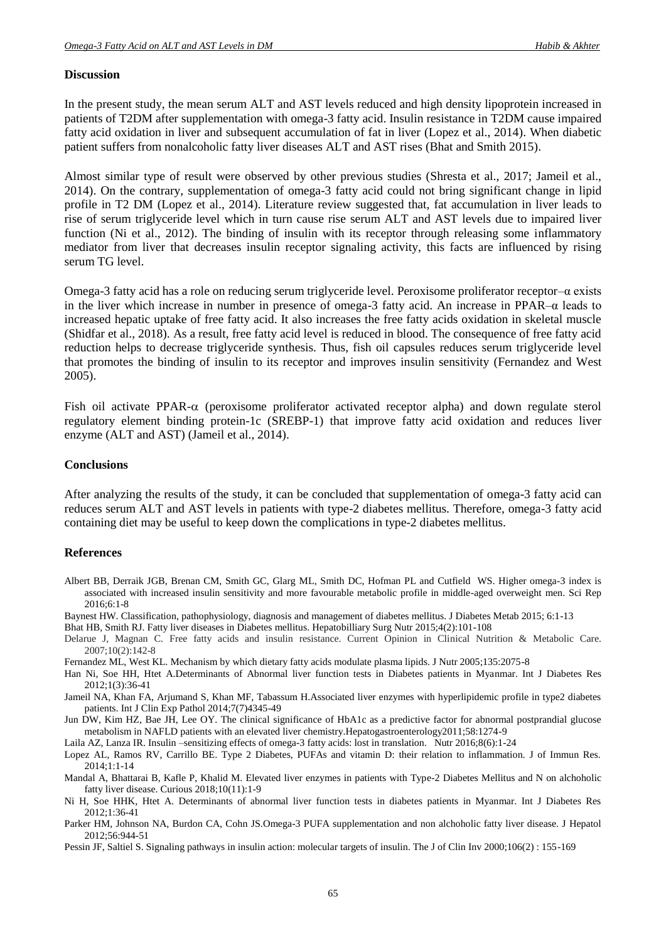#### **Discussion**

In the present study, the mean serum ALT and AST levels reduced and high density lipoprotein increased in patients of T2DM after supplementation with omega-3 fatty acid. Insulin resistance in T2DM cause impaired fatty acid oxidation in liver and subsequent accumulation of fat in liver (Lopez et al., 2014). When diabetic patient suffers from nonalcoholic fatty liver diseases ALT and AST rises (Bhat and Smith 2015).

Almost similar type of result were observed by other previous studies (Shresta et al., 2017; Jameil et al., 2014). On the contrary, supplementation of omega-3 fatty acid could not bring significant change in lipid profile in T2 DM (Lopez et al., 2014). Literature review suggested that, fat accumulation in liver leads to rise of serum triglyceride level which in turn cause rise serum ALT and AST levels due to impaired liver function (Ni et al., 2012). The binding of insulin with its receptor through releasing some inflammatory mediator from liver that decreases insulin receptor signaling activity, this facts are influenced by rising serum TG level.

Omega-3 fatty acid has a role on reducing serum triglyceride level. Peroxisome proliferator receptor–α exists in the liver which increase in number in presence of omega-3 fatty acid. An increase in PPAR–α leads to increased hepatic uptake of free fatty acid. It also increases the free fatty acids oxidation in skeletal muscle (Shidfar et al., 2018). As a result, free fatty acid level is reduced in blood. The consequence of free fatty acid reduction helps to decrease triglyceride synthesis. Thus, fish oil capsules reduces serum triglyceride level that promotes the binding of insulin to its receptor and improves insulin sensitivity (Fernandez and West 2005).

Fish oil activate PPAR- $\alpha$  (peroxisome proliferator activated receptor alpha) and down regulate sterol regulatory element binding protein-1c (SREBP-1) that improve fatty acid oxidation and reduces liver enzyme (ALT and AST) (Jameil et al., 2014).

#### **Conclusions**

After analyzing the results of the study, it can be concluded that supplementation of omega-3 fatty acid can reduces serum ALT and AST levels in patients with type-2 diabetes mellitus. Therefore, omega-3 fatty acid containing diet may be useful to keep down the complications in type-2 diabetes mellitus.

#### **References**

- Albert BB, Derraik JGB, Brenan CM, Smith GC, Glarg ML, Smith DC, Hofman PL and Cutfield WS. Higher omega-3 index is associated with increased insulin sensitivity and more favourable metabolic profile in middle-aged overweight men. Sci Rep 2016;6:1-8
- Baynest HW. Classification, pathophysiology, diagnosis and management of diabetes mellitus. J Diabetes Metab 2015; 6:1-13
- Bhat HB, Smith RJ. Fatty liver diseases in Diabetes mellitus. Hepatobilliary Surg Nutr 2015;4(2):101-108
- Delarue J, Magnan C. Free fatty acids and insulin resistance. Current Opinion in Clinical Nutrition & Metabolic Care. 2007;10(2):142-8
- Fernandez ML, West KL. Mechanism by which dietary fatty acids modulate plasma lipids. J Nutr 2005;135:2075-8
- Han Ni, Soe HH, Htet A.Determinants of Abnormal liver function tests in Diabetes patients in Myanmar. Int J Diabetes Res 2012;1(3):36-41
- Jameil NA, Khan FA, Arjumand S, Khan MF, Tabassum H.Associated liver enzymes with hyperlipidemic profile in type2 diabetes patients. Int J Clin Exp Pathol 2014;7(7)4345-49
- Jun DW, Kim HZ, Bae JH, Lee OY. The clinical significance of HbA1c as a predictive factor for abnormal postprandial glucose metabolism in NAFLD patients with an elevated liver chemistry.Hepatogastroenterology2011;58:1274-9

Laila AZ, Lanza IR. Insulin –sensitizing effects of omega-3 fatty acids: lost in translation. Nutr 2016;8(6):1-24

- Lopez AL, Ramos RV, Carrillo BE. Type 2 Diabetes, PUFAs and vitamin D: their relation to inflammation. J of Immun Res. 2014;1:1-14
- Mandal A, Bhattarai B, Kafle P, Khalid M. Elevated liver enzymes in patients with Type-2 Diabetes Mellitus and N on alchoholic fatty liver disease. Curious 2018;10(11):1-9
- Ni H, Soe HHK, Htet A. Determinants of abnormal liver function tests in diabetes patients in Myanmar. Int J Diabetes Res 2012;1:36-41
- Parker HM, Johnson NA, Burdon CA, Cohn JS.Omega-3 PUFA supplementation and non alchoholic fatty liver disease. J Hepatol 2012;56:944-51
- Pessin JF, Saltiel S. Signaling pathways in insulin action: molecular targets of insulin. The J of Clin Inv 2000;106(2) : 155-169